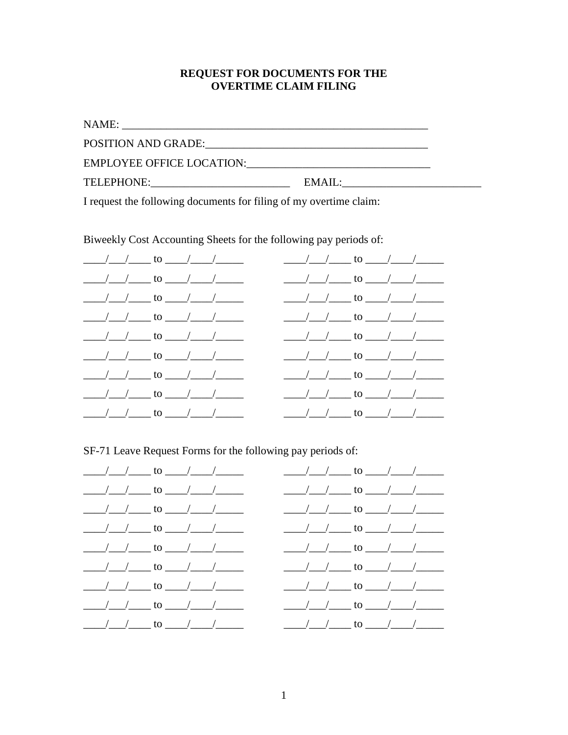## REQUEST FOR DOCUMENTS FOR THE **OVERTIME CLAIM FILING**

I request the following documents for filing of my overtime claim:

Biweekly Cost Accounting Sheets for the following pay periods of:

| $\frac{1}{\sqrt{1-\frac{1}{2}}}\left(\frac{1}{\sqrt{1-\frac{1}{2}}}\right)$ to $\frac{1}{\sqrt{1-\frac{1}{2}}}\left(\frac{1}{\sqrt{1-\frac{1}{2}}}\right)$                                                                                                                                                                                                                                                                      | $\frac{1}{\sqrt{1-\frac{1}{2}}}\left(\frac{1}{\sqrt{1-\frac{1}{2}}}\right)$ to $\frac{1}{\sqrt{1-\frac{1}{2}}}\left(\frac{1}{\sqrt{1-\frac{1}{2}}}\right)$ |  |
|---------------------------------------------------------------------------------------------------------------------------------------------------------------------------------------------------------------------------------------------------------------------------------------------------------------------------------------------------------------------------------------------------------------------------------|------------------------------------------------------------------------------------------------------------------------------------------------------------|--|
| $\frac{1}{\sqrt{1-\frac{1}{2}}}\left(\frac{1}{\sqrt{1-\frac{1}{2}}}\right)$ to $\frac{1}{\sqrt{1-\frac{1}{2}}}\left(\frac{1}{\sqrt{1-\frac{1}{2}}}\right)$                                                                                                                                                                                                                                                                      | $\frac{1}{\sqrt{1-\frac{1}{2}}}\left(1-\frac{1}{2}\right)$ to $\frac{1}{\sqrt{1-\frac{1}{2}}}\left(1-\frac{1}{2}\right)$                                   |  |
| $\frac{1}{\sqrt{1-\frac{1}{2}}}\left(1-\frac{1}{2}\right)$ to $\frac{1}{\sqrt{1-\frac{1}{2}}}\left(1-\frac{1}{2}\right)$                                                                                                                                                                                                                                                                                                        | $\frac{1}{\sqrt{1-\frac{1}{2}}}\left(1-\frac{1}{2}\right)$ to $\frac{1}{\sqrt{1-\frac{1}{2}}}\left(1-\frac{1}{2}\right)$                                   |  |
| $\frac{1}{\sqrt{1-\frac{1}{2}}}\frac{1}{\sqrt{1-\frac{1}{2}}}\frac{1}{\sqrt{1-\frac{1}{2}}}\frac{1}{\sqrt{1-\frac{1}{2}}}\frac{1}{\sqrt{1-\frac{1}{2}}}\frac{1}{\sqrt{1-\frac{1}{2}}}\frac{1}{\sqrt{1-\frac{1}{2}}}\frac{1}{\sqrt{1-\frac{1}{2}}}\frac{1}{\sqrt{1-\frac{1}{2}}}\frac{1}{\sqrt{1-\frac{1}{2}}}\frac{1}{\sqrt{1-\frac{1}{2}}}\frac{1}{\sqrt{1-\frac{1}{2}}}\frac{1}{\sqrt{1-\frac{1}{2}}}\frac{1}{\sqrt{1-\frac{$ | $\frac{1}{\sqrt{1-\frac{1}{2}}}\left(\frac{1}{\sqrt{1-\frac{1}{2}}}\right)$ to $\frac{1}{\sqrt{1-\frac{1}{2}}}\left(\frac{1}{\sqrt{1-\frac{1}{2}}}\right)$ |  |
| $\frac{1}{\sqrt{1-\frac{1}{2}}}\left(1-\frac{1}{2}\right)$ to $\frac{1}{\sqrt{1-\frac{1}{2}}}\left(1-\frac{1}{2}\right)$                                                                                                                                                                                                                                                                                                        | $\frac{1}{\sqrt{1-\frac{1}{2}}}\left(1-\frac{1}{2}\right)$ to $\frac{1}{\sqrt{1-\frac{1}{2}}}\left(1-\frac{1}{2}\right)$                                   |  |
| $\frac{1}{\sqrt{1-\frac{1}{2}}}\left(1-\frac{1}{2}\right)$ to $\frac{1}{\sqrt{1-\frac{1}{2}}}\left(1-\frac{1}{2}\right)$                                                                                                                                                                                                                                                                                                        | $\frac{1}{\sqrt{1-\frac{1}{2}}}\left(1-\frac{1}{2}\right)$ to $\frac{1}{\sqrt{1-\frac{1}{2}}}\left(1-\frac{1}{2}\right)$                                   |  |
| $\frac{1}{\sqrt{1-\frac{1}{2}}}\left(1-\frac{1}{2}\right)$ to $\frac{1}{\sqrt{1-\frac{1}{2}}}\left(1-\frac{1}{2}\right)$                                                                                                                                                                                                                                                                                                        | $\frac{1}{\sqrt{1-\frac{1}{2}}}\left(1-\frac{1}{2}\right)$ to $\frac{1}{\sqrt{1-\frac{1}{2}}}\left(1-\frac{1}{2}\right)$                                   |  |
| $\frac{1}{\sqrt{1-\frac{1}{2}}}\left(1-\frac{1}{2}\right)$ to $\frac{1}{\sqrt{1-\frac{1}{2}}}\left(1-\frac{1}{2}\right)$                                                                                                                                                                                                                                                                                                        | $\frac{1}{\sqrt{1-\frac{1}{2}}}\left(1-\frac{1}{2}\right)$ to $\frac{1}{\sqrt{1-\frac{1}{2}}}\left(1-\frac{1}{2}\right)$                                   |  |
| $\frac{\frac{1}{2} \left( \frac{1}{2} \right)^{2}}{\frac{1}{2} \left( \frac{1}{2} \right)^{2}}$ to $\frac{1}{2}$ to $\frac{1}{2}$ to $\frac{1}{2}$                                                                                                                                                                                                                                                                              | $\frac{1}{\sqrt{1-\frac{1}{2}}}\int$ to $\frac{1}{\sqrt{1-\frac{1}{2}}}\int$                                                                               |  |

SF-71 Leave Request Forms for the following pay periods of:

| $\frac{1}{\sqrt{1-\frac{1}{2}}}\left(1-\frac{1}{2}\right)$ to $\frac{1}{\sqrt{1-\frac{1}{2}}}\left(1-\frac{1}{2}\right)$                                                                                                                                                                                                                                                                                                        | $\frac{1}{\sqrt{1-\frac{1}{2}}}\frac{1}{\sqrt{1-\frac{1}{2}}}\frac{1}{\sqrt{1-\frac{1}{2}}}\frac{1}{\sqrt{1-\frac{1}{2}}}\frac{1}{\sqrt{1-\frac{1}{2}}}\frac{1}{\sqrt{1-\frac{1}{2}}}\frac{1}{\sqrt{1-\frac{1}{2}}}\frac{1}{\sqrt{1-\frac{1}{2}}}\frac{1}{\sqrt{1-\frac{1}{2}}}\frac{1}{\sqrt{1-\frac{1}{2}}}\frac{1}{\sqrt{1-\frac{1}{2}}}\frac{1}{\sqrt{1-\frac{1}{2}}}\frac{1}{\sqrt{1-\frac{1}{2}}}\frac{1}{\sqrt{1-\frac{$ |
|---------------------------------------------------------------------------------------------------------------------------------------------------------------------------------------------------------------------------------------------------------------------------------------------------------------------------------------------------------------------------------------------------------------------------------|---------------------------------------------------------------------------------------------------------------------------------------------------------------------------------------------------------------------------------------------------------------------------------------------------------------------------------------------------------------------------------------------------------------------------------|
| $\frac{1}{\sqrt{1-\frac{1}{2}}}\left(1-\frac{1}{2}\right)$ to $\frac{1}{\sqrt{1-\frac{1}{2}}}\left(1-\frac{1}{2}\right)$                                                                                                                                                                                                                                                                                                        | $\frac{1}{\sqrt{1-\frac{1}{2}}}\left(1-\frac{1}{2}\right)$ to $\frac{1}{\sqrt{1-\frac{1}{2}}}\left(1-\frac{1}{2}\right)$                                                                                                                                                                                                                                                                                                        |
| $\frac{1}{\sqrt{1-\frac{1}{2}}}\left(1-\frac{1}{2}\right)$ to $\frac{1}{\sqrt{1-\frac{1}{2}}}\left(1-\frac{1}{2}\right)$                                                                                                                                                                                                                                                                                                        | $\frac{1}{\sqrt{1-\frac{1}{2}}}\left(1-\frac{1}{2}\right)$ to $\frac{1}{\sqrt{1-\frac{1}{2}}}\left(1-\frac{1}{2}\right)$                                                                                                                                                                                                                                                                                                        |
| $\frac{1}{\sqrt{1-\frac{1}{2}}}\left(1-\frac{1}{2}\right)$ to $\frac{1}{\sqrt{1-\frac{1}{2}}}\left(1-\frac{1}{2}\right)$                                                                                                                                                                                                                                                                                                        | $\frac{1}{\sqrt{1-\frac{1}{2}}}\frac{1}{\sqrt{1-\frac{1}{2}}}\frac{1}{\sqrt{1-\frac{1}{2}}}\frac{1}{\sqrt{1-\frac{1}{2}}}\frac{1}{\sqrt{1-\frac{1}{2}}}\frac{1}{\sqrt{1-\frac{1}{2}}}\frac{1}{\sqrt{1-\frac{1}{2}}}\frac{1}{\sqrt{1-\frac{1}{2}}}\frac{1}{\sqrt{1-\frac{1}{2}}}\frac{1}{\sqrt{1-\frac{1}{2}}}\frac{1}{\sqrt{1-\frac{1}{2}}}\frac{1}{\sqrt{1-\frac{1}{2}}}\frac{1}{\sqrt{1-\frac{1}{2}}}\frac{1}{\sqrt{1-\frac{$ |
|                                                                                                                                                                                                                                                                                                                                                                                                                                 | $\frac{1}{\sqrt{1-\frac{1}{2}}}\frac{1}{\sqrt{1-\frac{1}{2}}}\frac{1}{\sqrt{1-\frac{1}{2}}}\frac{1}{\sqrt{1-\frac{1}{2}}}\frac{1}{\sqrt{1-\frac{1}{2}}}\frac{1}{\sqrt{1-\frac{1}{2}}}\frac{1}{\sqrt{1-\frac{1}{2}}}\frac{1}{\sqrt{1-\frac{1}{2}}}\frac{1}{\sqrt{1-\frac{1}{2}}}\frac{1}{\sqrt{1-\frac{1}{2}}}\frac{1}{\sqrt{1-\frac{1}{2}}}\frac{1}{\sqrt{1-\frac{1}{2}}}\frac{1}{\sqrt{1-\frac{1}{2}}}\frac{1}{\sqrt{1-\frac{$ |
| $\frac{\frac{1}{2} \left( \frac{1}{2} \right)^{2}}{\frac{1}{2} \left( \frac{1}{2} \right)^{2}}$ to $\frac{1}{2}$ to $\frac{1}{2}$ to $\frac{1}{2}$                                                                                                                                                                                                                                                                              | $\frac{1}{\sqrt{1-\frac{1}{2}}}\frac{1}{\sqrt{1-\frac{1}{2}}}\frac{1}{\sqrt{1-\frac{1}{2}}}\frac{1}{\sqrt{1-\frac{1}{2}}}\frac{1}{\sqrt{1-\frac{1}{2}}}\frac{1}{\sqrt{1-\frac{1}{2}}}\frac{1}{\sqrt{1-\frac{1}{2}}}\frac{1}{\sqrt{1-\frac{1}{2}}}\frac{1}{\sqrt{1-\frac{1}{2}}}\frac{1}{\sqrt{1-\frac{1}{2}}}\frac{1}{\sqrt{1-\frac{1}{2}}}\frac{1}{\sqrt{1-\frac{1}{2}}}\frac{1}{\sqrt{1-\frac{1}{2}}}\frac{1}{\sqrt{1-\frac{$ |
| $\frac{1}{\sqrt{1-\frac{1}{2}}}\frac{1}{\sqrt{1-\frac{1}{2}}}\frac{1}{\sqrt{1-\frac{1}{2}}}\frac{1}{\sqrt{1-\frac{1}{2}}}\frac{1}{\sqrt{1-\frac{1}{2}}}\frac{1}{\sqrt{1-\frac{1}{2}}}\frac{1}{\sqrt{1-\frac{1}{2}}}\frac{1}{\sqrt{1-\frac{1}{2}}}\frac{1}{\sqrt{1-\frac{1}{2}}}\frac{1}{\sqrt{1-\frac{1}{2}}}\frac{1}{\sqrt{1-\frac{1}{2}}}\frac{1}{\sqrt{1-\frac{1}{2}}}\frac{1}{\sqrt{1-\frac{1}{2}}}\frac{1}{\sqrt{1-\frac{$ | $\frac{1}{\sqrt{1-\frac{1}{2}}}\frac{1}{\sqrt{1-\frac{1}{2}}}\frac{1}{\sqrt{1-\frac{1}{2}}}\frac{1}{\sqrt{1-\frac{1}{2}}}\frac{1}{\sqrt{1-\frac{1}{2}}}\frac{1}{\sqrt{1-\frac{1}{2}}}\frac{1}{\sqrt{1-\frac{1}{2}}}\frac{1}{\sqrt{1-\frac{1}{2}}}\frac{1}{\sqrt{1-\frac{1}{2}}}\frac{1}{\sqrt{1-\frac{1}{2}}}\frac{1}{\sqrt{1-\frac{1}{2}}}\frac{1}{\sqrt{1-\frac{1}{2}}}\frac{1}{\sqrt{1-\frac{1}{2}}}\frac{1}{\sqrt{1-\frac{$ |
| $\frac{1}{\sqrt{1-\frac{1}{2}}}\left(1-\frac{1}{2}\right)$ to $\frac{1}{\sqrt{1-\frac{1}{2}}}\left(1-\frac{1}{2}\right)$                                                                                                                                                                                                                                                                                                        |                                                                                                                                                                                                                                                                                                                                                                                                                                 |
| $\frac{1}{\sqrt{1-\frac{1}{2}}}\int$ to $\frac{1}{\sqrt{1-\frac{1}{2}}}$                                                                                                                                                                                                                                                                                                                                                        | $\frac{1}{\sqrt{1-\frac{1}{2}}}\frac{1}{\sqrt{1-\frac{1}{2}}}\frac{1}{\sqrt{1-\frac{1}{2}}}\frac{1}{\sqrt{1-\frac{1}{2}}}\frac{1}{\sqrt{1-\frac{1}{2}}}\frac{1}{\sqrt{1-\frac{1}{2}}}\frac{1}{\sqrt{1-\frac{1}{2}}}\frac{1}{\sqrt{1-\frac{1}{2}}}\frac{1}{\sqrt{1-\frac{1}{2}}}\frac{1}{\sqrt{1-\frac{1}{2}}}\frac{1}{\sqrt{1-\frac{1}{2}}}\frac{1}{\sqrt{1-\frac{1}{2}}}\frac{1}{\sqrt{1-\frac{1}{2}}}\frac{1}{\sqrt{1-\frac{$ |